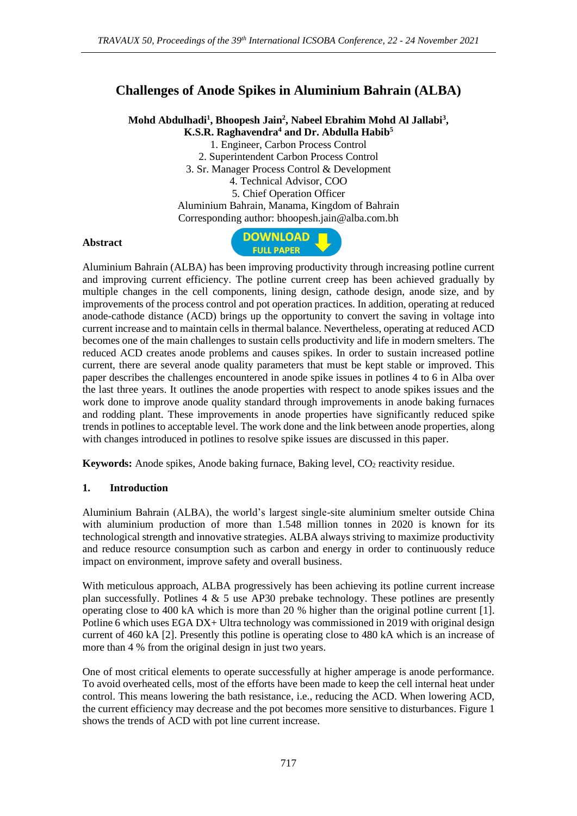# **Challenges of Anode Spikes in Aluminium Bahrain (ALBA)**

**Mohd Abdulhadi<sup>1</sup> , Bhoopesh Jain<sup>2</sup> , Nabeel Ebrahim Mohd Al Jallabi<sup>3</sup> , K.S.R. Raghavendra<sup>4</sup> and Dr. Abdulla Habib<sup>5</sup>**

1. Engineer, Carbon Process Control

2. Superintendent Carbon Process Control

3. Sr. Manager Process Control & Development

4. Technical Advisor, COO

5. Chief Operation Officer Aluminium Bahrain, Manama, Kingdom of Bahrain Corresponding author: bhoopesh.jain@alba.com.bh

### **Abstract**



Aluminium Bahrain (ALBA) has been improving productivity through increasing potline current and improving current efficiency. The potline current creep has been achieved gradually by multiple changes in the cell components, lining design, cathode design, anode size, and by improvements of the process control and pot operation practices. In addition, operating at reduced anode-cathode distance (ACD) brings up the opportunity to convert the saving in voltage into current increase and to maintain cells in thermal balance. Nevertheless, operating at reduced ACD becomes one of the main challenges to sustain cells productivity and life in modern smelters. The reduced ACD creates anode problems and causes spikes. In order to sustain increased potline current, there are several anode quality parameters that must be kept stable or improved. This paper describes the challenges encountered in anode spike issues in potlines 4 to 6 in Alba over the last three years. It outlines the anode properties with respect to anode spikes issues and the work done to improve anode quality standard through improvements in anode baking furnaces and rodding plant. These improvements in anode properties have significantly reduced spike trends in potlines to acceptable level. The work done and the link between anode properties, along with changes introduced in potlines to resolve spike issues are discussed in this paper.

**Keywords:** Anode spikes, Anode baking furnace, Baking level, CO<sub>2</sub> reactivity residue.

# **1. Introduction**

Aluminium Bahrain (ALBA), the world's largest single-site aluminium smelter outside China with aluminium production of more than 1.548 million tonnes in 2020 is known for its technological strength and innovative strategies. ALBA always striving to maximize productivity and reduce resource consumption such as carbon and energy in order to continuously reduce impact on environment, improve safety and overall business.

With meticulous approach, ALBA progressively has been achieving its potline current increase plan successfully. Potlines 4 & 5 use AP30 prebake technology. These potlines are presently operating close to 400 kA which is more than 20 % higher than the original potline current [1]. Potline 6 which uses EGA DX+ Ultra technology was commissioned in 2019 with original design current of 460 kA [2]. Presently this potline is operating close to 480 kA which is an increase of more than 4 % from the original design in just two years.

One of most critical elements to operate successfully at higher amperage is anode performance. To avoid overheated cells, most of the efforts have been made to keep the cell internal heat under control. This means lowering the bath resistance, i.e., reducing the ACD. When lowering ACD, the current efficiency may decrease and the pot becomes more sensitive to disturbances. Figure 1 shows the trends of ACD with pot line current increase.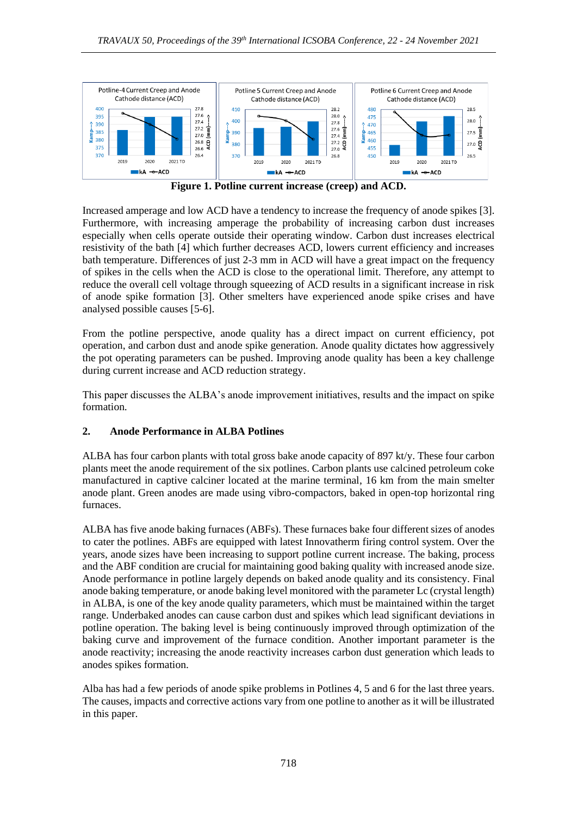

**Figure 1. Potline current increase (creep) and ACD.**

Increased amperage and low ACD have a tendency to increase the frequency of anode spikes [3]. Furthermore, with increasing amperage the probability of increasing carbon dust increases especially when cells operate outside their operating window. Carbon dust increases electrical resistivity of the bath [4] which further decreases ACD, lowers current efficiency and increases bath temperature. Differences of just 2-3 mm in ACD will have a great impact on the frequency of spikes in the cells when the ACD is close to the operational limit. Therefore, any attempt to reduce the overall cell voltage through squeezing of ACD results in a significant increase in risk of anode spike formation [3]. Other smelters have experienced anode spike crises and have analysed possible causes [5-6].

From the potline perspective, anode quality has a direct impact on current efficiency, pot operation, and carbon dust and anode spike generation. Anode quality dictates how aggressively the pot operating parameters can be pushed. Improving anode quality has been a key challenge during current increase and ACD reduction strategy.

This paper discusses the ALBA's anode improvement initiatives, results and the impact on spike formation.

# **2. Anode Performance in ALBA Potlines**

ALBA has four carbon plants with total gross bake anode capacity of 897 kt/y. These four carbon plants meet the anode requirement of the six potlines. Carbon plants use calcined petroleum coke manufactured in captive calciner located at the marine terminal, 16 km from the main smelter anode plant. Green anodes are made using vibro-compactors, baked in open-top horizontal ring furnaces.

ALBA has five anode baking furnaces (ABFs). These furnaces bake four different sizes of anodes to cater the potlines. ABFs are equipped with latest Innovatherm firing control system. Over the years, anode sizes have been increasing to support potline current increase. The baking, process and the ABF condition are crucial for maintaining good baking quality with increased anode size. Anode performance in potline largely depends on baked anode quality and its consistency. Final anode baking temperature, or anode baking level monitored with the parameter Lc (crystal length) in ALBA, is one of the key anode quality parameters, which must be maintained within the target range. Underbaked anodes can cause carbon dust and spikes which lead significant deviations in potline operation. The baking level is being continuously improved through optimization of the baking curve and improvement of the furnace condition. Another important parameter is the anode reactivity; increasing the anode reactivity increases carbon dust generation which leads to anodes spikes formation.

Alba has had a few periods of anode spike problems in Potlines 4, 5 and 6 for the last three years. The causes, impacts and corrective actions vary from one potline to another as it will be illustrated in this paper.